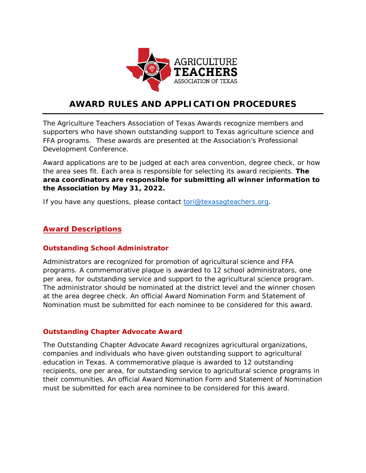

# **AWARD RULES AND APPLICATION PROCEDURES**

The Agriculture Teachers Association of Texas Awards recognize members and supporters who have shown outstanding support to Texas agriculture science and FFA programs. These awards are presented at the Association's Professional Development Conference.

Award applications are to be judged at each area convention, degree check, or how the area sees fit. Each area is responsible for selecting its award recipients. **The area coordinators are responsible for submitting all winner information to the Association by May 31, 2022.** 

If you have any questions, please contact [tori@texasagteachers.org.](mailto:tori@texasagteachers.org)

# **Award Descriptions**

## **Outstanding School Administrator**

Administrators are recognized for promotion of agricultural science and FFA programs. A commemorative plaque is awarded to 12 school administrators, one per area, for outstanding service and support to the agricultural science program. The administrator should be nominated at the district level and the winner chosen at the area degree check. An official Award Nomination Form and Statement of Nomination must be submitted for each nominee to be considered for this award.

## **Outstanding Chapter Advocate Award**

The Outstanding Chapter Advocate Award recognizes agricultural organizations, companies and individuals who have given outstanding support to agricultural education in Texas. A commemorative plaque is awarded to 12 outstanding recipients, one per area, for outstanding service to agricultural science programs in their communities. An official Award Nomination Form and Statement of Nomination must be submitted for each area nominee to be considered for this award.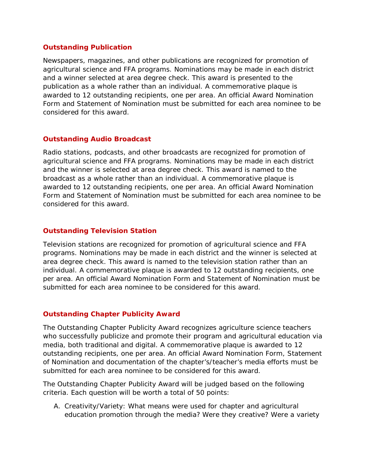#### **Outstanding Publication**

Newspapers, magazines, and other publications are recognized for promotion of agricultural science and FFA programs. Nominations may be made in each district and a winner selected at area degree check. This award is presented to the publication as a whole rather than an individual. A commemorative plaque is awarded to 12 outstanding recipients, one per area. An official Award Nomination Form and Statement of Nomination must be submitted for each area nominee to be considered for this award.

#### **Outstanding Audio Broadcast**

Radio stations, podcasts, and other broadcasts are recognized for promotion of agricultural science and FFA programs. Nominations may be made in each district and the winner is selected at area degree check. This award is named to the broadcast as a whole rather than an individual. A commemorative plaque is awarded to 12 outstanding recipients, one per area. An official Award Nomination Form and Statement of Nomination must be submitted for each area nominee to be considered for this award.

## **Outstanding Television Station**

Television stations are recognized for promotion of agricultural science and FFA programs. Nominations may be made in each district and the winner is selected at area degree check. This award is named to the television station rather than an individual. A commemorative plaque is awarded to 12 outstanding recipients, one per area. An official Award Nomination Form and Statement of Nomination must be submitted for each area nominee to be considered for this award.

#### **Outstanding Chapter Publicity Award**

The Outstanding Chapter Publicity Award recognizes agriculture science teachers who successfully publicize and promote their program and agricultural education via media, both traditional and digital. A commemorative plaque is awarded to 12 outstanding recipients, one per area. An official Award Nomination Form, Statement of Nomination and documentation of the chapter's/teacher's media efforts must be submitted for each area nominee to be considered for this award.

The Outstanding Chapter Publicity Award will be judged based on the following criteria. Each question will be worth a total of 50 points:

A. Creativity/Variety: What means were used for chapter and agricultural education promotion through the media? Were they creative? Were a variety